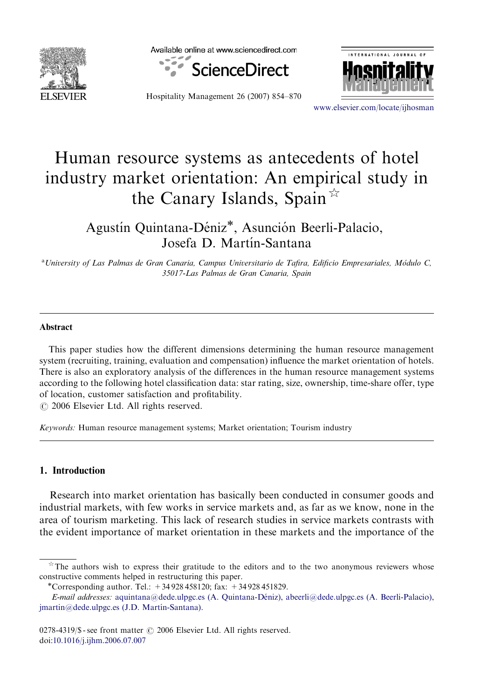

Available online at www.sciencedirect.com



Hospitality Management 26 (2007) 854–870



<www.elsevier.com/locate/ijhosman>

## Human resource systems as antecedents of hotel industry market orientation: An empirical study in the Canary Islands, Spain  $\overline{x}$

Agustín Quintana-Déniz<sup>\*</sup>, Asunción Beerli-Palacio, Josefa D. Martín-Santana

<sup>a</sup> University of Las Palmas de Gran Canaria, Campus Universitario de Tafira, Edificio Empresariales, Módulo C, 35017-Las Palmas de Gran Canaria, Spain

#### Abstract

This paper studies how the different dimensions determining the human resource management system (recruiting, training, evaluation and compensation) influence the market orientation of hotels. There is also an exploratory analysis of the differences in the human resource management systems according to the following hotel classification data: star rating, size, ownership, time-share offer, type of location, customer satisfaction and profitability.

 $\odot$  2006 Elsevier Ltd. All rights reserved.

Keywords: Human resource management systems; Market orientation; Tourism industry

### 1. Introduction

Research into market orientation has basically been conducted in consumer goods and industrial markets, with few works in service markets and, as far as we know, none in the area of tourism marketing. This lack of research studies in service markets contrasts with the evident importance of market orientation in these markets and the importance of the

 $*$  The authors wish to express their gratitude to the editors and to the two anonymous reviewers whose constructive comments helped in restructuring this paper.

<sup>\*</sup>Corresponding author. Tel.:  $+34928458120$ ; fax:  $+34928451829$ .

E-mail addresses: aquintana@dede.ulpgc.es (A. Quintana-Déniz), [abeerli@dede.ulpgc.es \(A. Beerli-Palacio\)](mailto:abeerli@dede.ulpgc.es), jmartin@dede.ulpgc.es (J.D. Martín-Santana).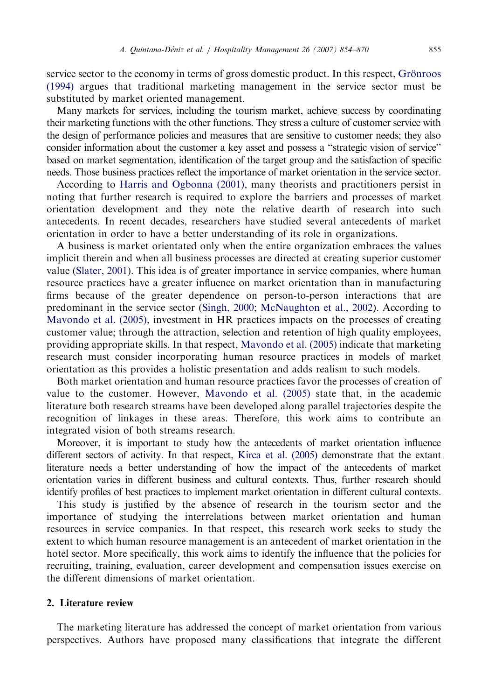service sector to the economy in terms of gross domestic product. In this respect, Grönroos [\(1994\)](#page--1-0) argues that traditional marketing management in the service sector must be substituted by market oriented management.

Many markets for services, including the tourism market, achieve success by coordinating their marketing functions with the other functions. They stress a culture of customer service with the design of performance policies and measures that are sensitive to customer needs; they also consider information about the customer a key asset and possess a ''strategic vision of service'' based on market segmentation, identification of the target group and the satisfaction of specific needs. Those business practices reflect the importance of market orientation in the service sector.

According to [Harris and Ogbonna \(2001\),](#page--1-0) many theorists and practitioners persist in noting that further research is required to explore the barriers and processes of market orientation development and they note the relative dearth of research into such antecedents. In recent decades, researchers have studied several antecedents of market orientation in order to have a better understanding of its role in organizations.

A business is market orientated only when the entire organization embraces the values implicit therein and when all business processes are directed at creating superior customer value ([Slater, 2001](#page--1-0)). This idea is of greater importance in service companies, where human resource practices have a greater influence on market orientation than in manufacturing firms because of the greater dependence on person-to-person interactions that are predominant in the service sector ([Singh, 2000](#page--1-0); [McNaughton et al., 2002\)](#page--1-0). According to [Mavondo et al. \(2005\),](#page--1-0) investment in HR practices impacts on the processes of creating customer value; through the attraction, selection and retention of high quality employees, providing appropriate skills. In that respect, [Mavondo et al. \(2005\)](#page--1-0) indicate that marketing research must consider incorporating human resource practices in models of market orientation as this provides a holistic presentation and adds realism to such models.

Both market orientation and human resource practices favor the processes of creation of value to the customer. However, [Mavondo et al. \(2005\)](#page--1-0) state that, in the academic literature both research streams have been developed along parallel trajectories despite the recognition of linkages in these areas. Therefore, this work aims to contribute an integrated vision of both streams research.

Moreover, it is important to study how the antecedents of market orientation influence different sectors of activity. In that respect, [Kirca et al. \(2005\)](#page--1-0) demonstrate that the extant literature needs a better understanding of how the impact of the antecedents of market orientation varies in different business and cultural contexts. Thus, further research should identify profiles of best practices to implement market orientation in different cultural contexts.

This study is justified by the absence of research in the tourism sector and the importance of studying the interrelations between market orientation and human resources in service companies. In that respect, this research work seeks to study the extent to which human resource management is an antecedent of market orientation in the hotel sector. More specifically, this work aims to identify the influence that the policies for recruiting, training, evaluation, career development and compensation issues exercise on the different dimensions of market orientation.

### 2. Literature review

The marketing literature has addressed the concept of market orientation from various perspectives. Authors have proposed many classifications that integrate the different